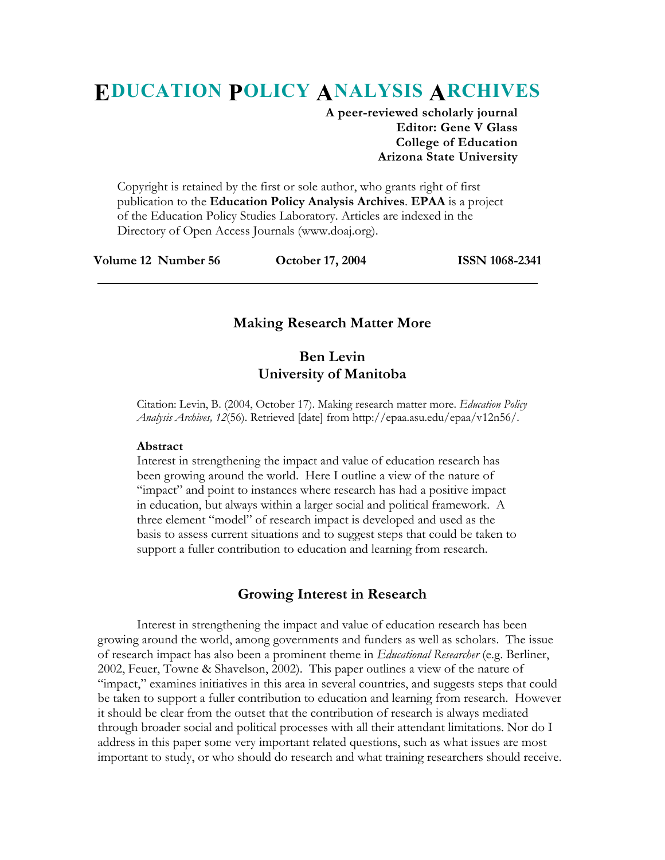# **EDUCATION POLICY ANALYSIS ARCHIVES**

**A peer-reviewed scholarly journal Editor: Gene V Glass College of Education Arizona State University** 

Copyright is retained by the first or sole author, who grants right of first publication to the **Education Policy Analysis Archives**. **EPAA** is a project of the Education Policy Studies Laboratory. Articles are indexed in the Directory of Open Access Journals (www.doaj.org).

**Volume 12 Number 56 October 17, 2004 ISSN 1068-2341** 

## **Making Research Matter More**

# **Ben Levin University of Manitoba**

Citation: Levin, B. (2004, October 17). Making research matter more. *Education Policy Analysis Archives, 12*(56). Retrieved [date] from http://epaa.asu.edu/epaa/v12n56/.

#### **Abstract**

Interest in strengthening the impact and value of education research has been growing around the world. Here I outline a view of the nature of "impact" and point to instances where research has had a positive impact in education, but always within a larger social and political framework. A three element "model" of research impact is developed and used as the basis to assess current situations and to suggest steps that could be taken to support a fuller contribution to education and learning from research.

## **Growing Interest in Research**

 Interest in strengthening the impact and value of education research has been growing around the world, among governments and funders as well as scholars. The issue of research impact has also been a prominent theme in *Educational Researcher* (e.g. Berliner, 2002, Feuer, Towne & Shavelson, 2002). This paper outlines a view of the nature of "impact," examines initiatives in this area in several countries, and suggests steps that could be taken to support a fuller contribution to education and learning from research. However it should be clear from the outset that the contribution of research is always mediated through broader social and political processes with all their attendant limitations. Nor do I address in this paper some very important related questions, such as what issues are most important to study, or who should do research and what training researchers should receive.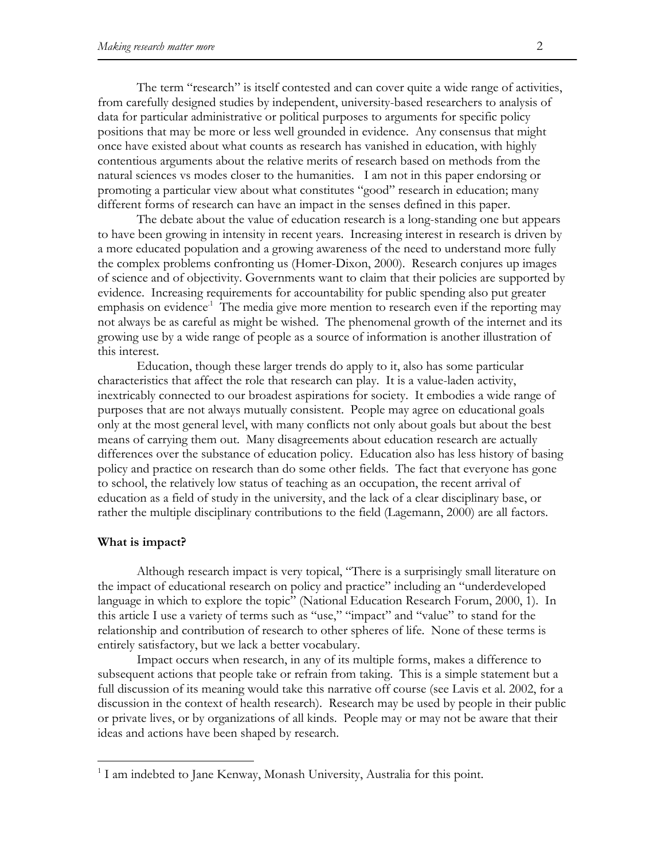The term "research" is itself contested and can cover quite a wide range of activities, from carefully designed studies by independent, university-based researchers to analysis of data for particular administrative or political purposes to arguments for specific policy positions that may be more or less well grounded in evidence. Any consensus that might once have existed about what counts as research has vanished in education, with highly contentious arguments about the relative merits of research based on methods from the natural sciences vs modes closer to the humanities. I am not in this paper endorsing or promoting a particular view about what constitutes "good" research in education; many different forms of research can have an impact in the senses defined in this paper.

 The debate about the value of education research is a long-standing one but appears to have been growing in intensity in recent years. Increasing interest in research is driven by a more educated population and a growing awareness of the need to understand more fully the complex problems confronting us (Homer-Dixon, 2000). Research conjures up images of science and of objectivity. Governments want to claim that their policies are supported by evidence. Increasing requirements for accountability for public spending also put greater emphasis on evidence<sup> $1$ </sup>. The media give more mention to research even if the reporting may not always be as careful as might be wished. The phenomenal growth of the internet and its growing use by a wide range of people as a source of information is another illustration of this interest.

 Education, though these larger trends do apply to it, also has some particular characteristics that affect the role that research can play. It is a value-laden activity, inextricably connected to our broadest aspirations for society. It embodies a wide range of purposes that are not always mutually consistent. People may agree on educational goals only at the most general level, with many conflicts not only about goals but about the best means of carrying them out. Many disagreements about education research are actually differences over the substance of education policy. Education also has less history of basing policy and practice on research than do some other fields. The fact that everyone has gone to school, the relatively low status of teaching as an occupation, the recent arrival of education as a field of study in the university, and the lack of a clear disciplinary base, or rather the multiple disciplinary contributions to the field (Lagemann, 2000) are all factors.

#### **What is impact?**

1

 Although research impact is very topical, "There is a surprisingly small literature on the impact of educational research on policy and practice" including an "underdeveloped language in which to explore the topic" (National Education Research Forum, 2000, 1). In this article I use a variety of terms such as "use," "impact" and "value" to stand for the relationship and contribution of research to other spheres of life. None of these terms is entirely satisfactory, but we lack a better vocabulary.

 Impact occurs when research, in any of its multiple forms, makes a difference to subsequent actions that people take or refrain from taking. This is a simple statement but a full discussion of its meaning would take this narrative off course (see Lavis et al. 2002, for a discussion in the context of health research). Research may be used by people in their public or private lives, or by organizations of all kinds. People may or may not be aware that their ideas and actions have been shaped by research.

<sup>&</sup>lt;sup>1</sup> I am indebted to Jane Kenway, Monash University, Australia for this point.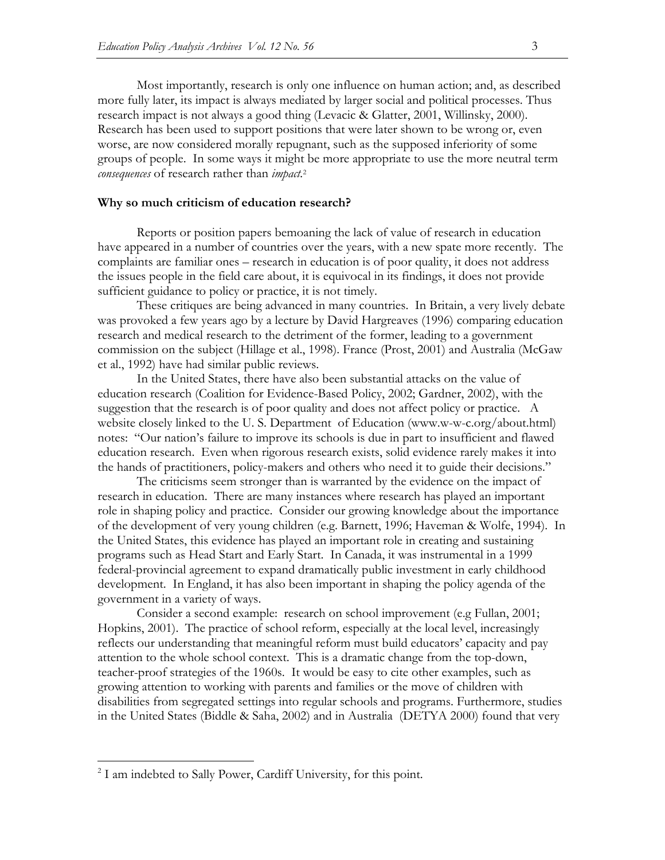Most importantly, research is only one influence on human action; and, as described more fully later, its impact is always mediated by larger social and political processes. Thus research impact is not always a good thing (Levacic & Glatter, 2001, Willinsky, 2000). Research has been used to support positions that were later shown to be wrong or, even worse, are now considered morally repugnant, such as the supposed inferiority of some groups of people. In some ways it might be more appropriate to use the more neutral term *consequences* of research rather than *impact.*<sup>2</sup>

#### **Why so much criticism of education research?**

 Reports or position papers bemoaning the lack of value of research in education have appeared in a number of countries over the years, with a new spate more recently. The complaints are familiar ones – research in education is of poor quality, it does not address the issues people in the field care about, it is equivocal in its findings, it does not provide sufficient guidance to policy or practice, it is not timely.

 These critiques are being advanced in many countries. In Britain, a very lively debate was provoked a few years ago by a lecture by David Hargreaves (1996) comparing education research and medical research to the detriment of the former, leading to a government commission on the subject (Hillage et al., 1998). France (Prost, 2001) and Australia (McGaw et al., 1992) have had similar public reviews.

 In the United States, there have also been substantial attacks on the value of education research (Coalition for Evidence-Based Policy, 2002; Gardner, 2002), with the suggestion that the research is of poor quality and does not affect policy or practice. A website closely linked to the U. S. Department of Education (www.w-w-c.org/about.html) notes: "Our nation's failure to improve its schools is due in part to insufficient and flawed education research. Even when rigorous research exists, solid evidence rarely makes it into the hands of practitioners, policy-makers and others who need it to guide their decisions."

 The criticisms seem stronger than is warranted by the evidence on the impact of research in education. There are many instances where research has played an important role in shaping policy and practice. Consider our growing knowledge about the importance of the development of very young children (e.g. Barnett, 1996; Haveman & Wolfe, 1994). In the United States, this evidence has played an important role in creating and sustaining programs such as Head Start and Early Start. In Canada, it was instrumental in a 1999 federal-provincial agreement to expand dramatically public investment in early childhood development. In England, it has also been important in shaping the policy agenda of the government in a variety of ways.

 Consider a second example: research on school improvement (e.g Fullan, 2001; Hopkins, 2001). The practice of school reform, especially at the local level, increasingly reflects our understanding that meaningful reform must build educators' capacity and pay attention to the whole school context. This is a dramatic change from the top-down, teacher-proof strategies of the 1960s. It would be easy to cite other examples, such as growing attention to working with parents and families or the move of children with disabilities from segregated settings into regular schools and programs. Furthermore, studies in the United States (Biddle & Saha, 2002) and in Australia (DETYA 2000) found that very

1

<sup>&</sup>lt;sup>2</sup> I am indebted to Sally Power, Cardiff University, for this point.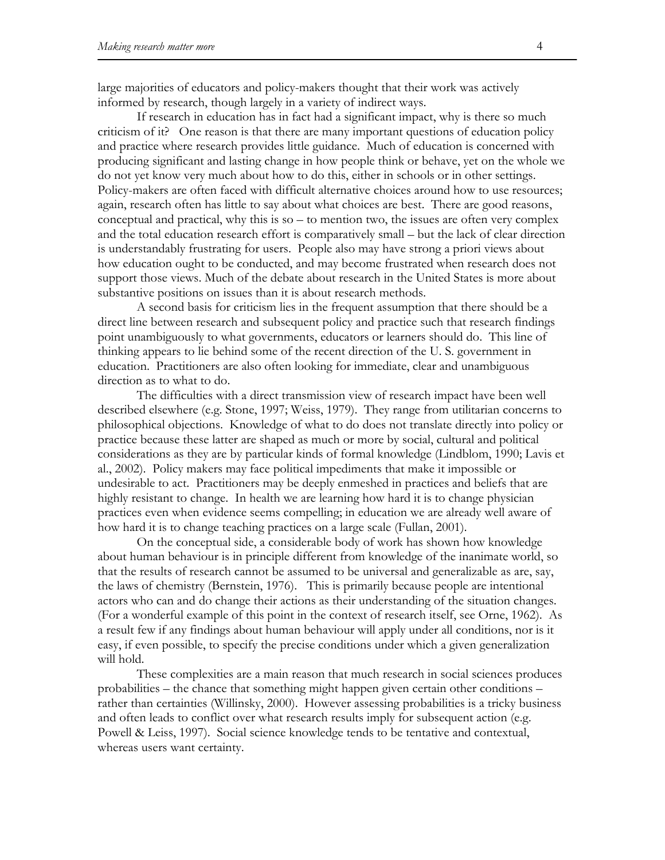large majorities of educators and policy-makers thought that their work was actively informed by research, though largely in a variety of indirect ways.

 If research in education has in fact had a significant impact, why is there so much criticism of it? One reason is that there are many important questions of education policy and practice where research provides little guidance. Much of education is concerned with producing significant and lasting change in how people think or behave, yet on the whole we do not yet know very much about how to do this, either in schools or in other settings. Policy-makers are often faced with difficult alternative choices around how to use resources; again, research often has little to say about what choices are best. There are good reasons, conceptual and practical, why this is so – to mention two, the issues are often very complex and the total education research effort is comparatively small – but the lack of clear direction is understandably frustrating for users. People also may have strong a priori views about how education ought to be conducted, and may become frustrated when research does not support those views. Much of the debate about research in the United States is more about substantive positions on issues than it is about research methods.

 A second basis for criticism lies in the frequent assumption that there should be a direct line between research and subsequent policy and practice such that research findings point unambiguously to what governments, educators or learners should do. This line of thinking appears to lie behind some of the recent direction of the U. S. government in education. Practitioners are also often looking for immediate, clear and unambiguous direction as to what to do.

 The difficulties with a direct transmission view of research impact have been well described elsewhere (e.g. Stone, 1997; Weiss, 1979). They range from utilitarian concerns to philosophical objections. Knowledge of what to do does not translate directly into policy or practice because these latter are shaped as much or more by social, cultural and political considerations as they are by particular kinds of formal knowledge (Lindblom, 1990; Lavis et al., 2002). Policy makers may face political impediments that make it impossible or undesirable to act. Practitioners may be deeply enmeshed in practices and beliefs that are highly resistant to change. In health we are learning how hard it is to change physician practices even when evidence seems compelling; in education we are already well aware of how hard it is to change teaching practices on a large scale (Fullan, 2001).

 On the conceptual side, a considerable body of work has shown how knowledge about human behaviour is in principle different from knowledge of the inanimate world, so that the results of research cannot be assumed to be universal and generalizable as are, say, the laws of chemistry (Bernstein, 1976). This is primarily because people are intentional actors who can and do change their actions as their understanding of the situation changes. (For a wonderful example of this point in the context of research itself, see Orne, 1962). As a result few if any findings about human behaviour will apply under all conditions, nor is it easy, if even possible, to specify the precise conditions under which a given generalization will hold.

 These complexities are a main reason that much research in social sciences produces probabilities – the chance that something might happen given certain other conditions – rather than certainties (Willinsky, 2000). However assessing probabilities is a tricky business and often leads to conflict over what research results imply for subsequent action (e.g. Powell & Leiss, 1997). Social science knowledge tends to be tentative and contextual, whereas users want certainty.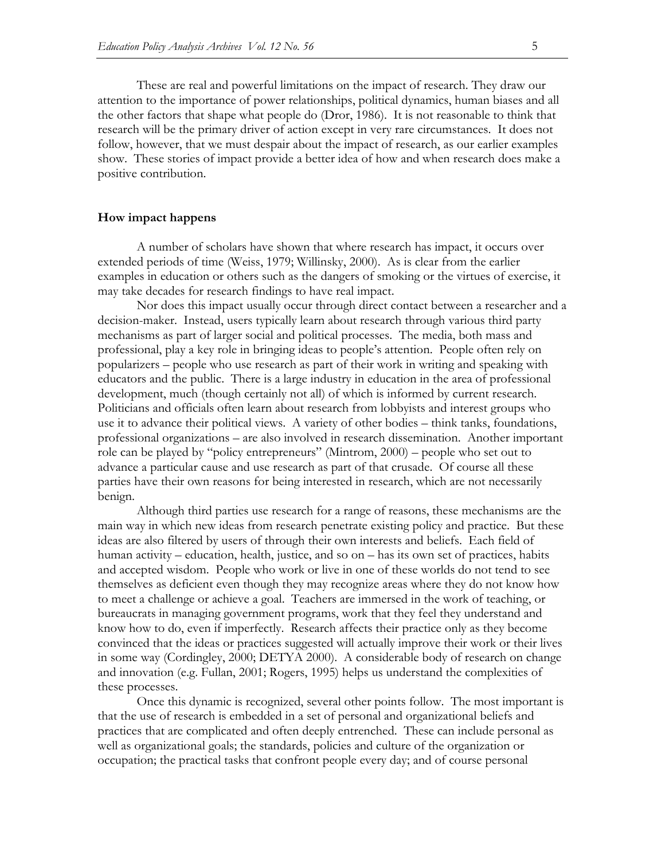These are real and powerful limitations on the impact of research. They draw our attention to the importance of power relationships, political dynamics, human biases and all the other factors that shape what people do (Dror, 1986). It is not reasonable to think that research will be the primary driver of action except in very rare circumstances. It does not follow, however, that we must despair about the impact of research, as our earlier examples show. These stories of impact provide a better idea of how and when research does make a positive contribution.

#### **How impact happens**

 A number of scholars have shown that where research has impact, it occurs over extended periods of time (Weiss, 1979; Willinsky, 2000). As is clear from the earlier examples in education or others such as the dangers of smoking or the virtues of exercise, it may take decades for research findings to have real impact.

 Nor does this impact usually occur through direct contact between a researcher and a decision-maker. Instead, users typically learn about research through various third party mechanisms as part of larger social and political processes. The media, both mass and professional, play a key role in bringing ideas to people's attention. People often rely on popularizers – people who use research as part of their work in writing and speaking with educators and the public. There is a large industry in education in the area of professional development, much (though certainly not all) of which is informed by current research. Politicians and officials often learn about research from lobbyists and interest groups who use it to advance their political views. A variety of other bodies – think tanks, foundations, professional organizations – are also involved in research dissemination. Another important role can be played by "policy entrepreneurs" (Mintrom, 2000) – people who set out to advance a particular cause and use research as part of that crusade. Of course all these parties have their own reasons for being interested in research, which are not necessarily benign.

 Although third parties use research for a range of reasons, these mechanisms are the main way in which new ideas from research penetrate existing policy and practice. But these ideas are also filtered by users of through their own interests and beliefs. Each field of human activity – education, health, justice, and so on – has its own set of practices, habits and accepted wisdom. People who work or live in one of these worlds do not tend to see themselves as deficient even though they may recognize areas where they do not know how to meet a challenge or achieve a goal. Teachers are immersed in the work of teaching, or bureaucrats in managing government programs, work that they feel they understand and know how to do, even if imperfectly. Research affects their practice only as they become convinced that the ideas or practices suggested will actually improve their work or their lives in some way (Cordingley, 2000; DETYA 2000). A considerable body of research on change and innovation (e.g. Fullan, 2001; Rogers, 1995) helps us understand the complexities of these processes.

 Once this dynamic is recognized, several other points follow. The most important is that the use of research is embedded in a set of personal and organizational beliefs and practices that are complicated and often deeply entrenched. These can include personal as well as organizational goals; the standards, policies and culture of the organization or occupation; the practical tasks that confront people every day; and of course personal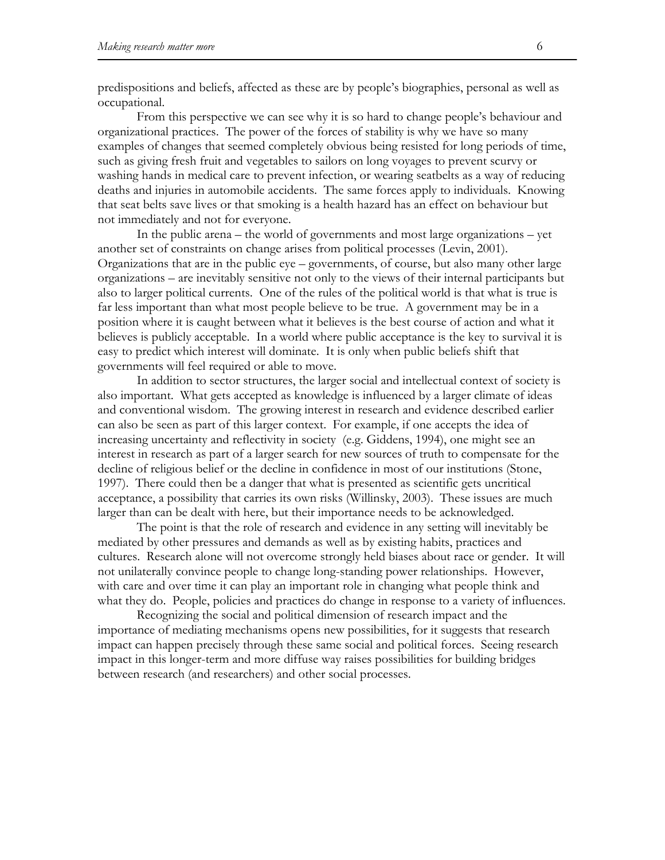predispositions and beliefs, affected as these are by people's biographies, personal as well as occupational.

 From this perspective we can see why it is so hard to change people's behaviour and organizational practices. The power of the forces of stability is why we have so many examples of changes that seemed completely obvious being resisted for long periods of time, such as giving fresh fruit and vegetables to sailors on long voyages to prevent scurvy or washing hands in medical care to prevent infection, or wearing seatbelts as a way of reducing deaths and injuries in automobile accidents. The same forces apply to individuals. Knowing that seat belts save lives or that smoking is a health hazard has an effect on behaviour but not immediately and not for everyone.

 In the public arena – the world of governments and most large organizations – yet another set of constraints on change arises from political processes (Levin, 2001). Organizations that are in the public eye – governments, of course, but also many other large organizations – are inevitably sensitive not only to the views of their internal participants but also to larger political currents. One of the rules of the political world is that what is true is far less important than what most people believe to be true. A government may be in a position where it is caught between what it believes is the best course of action and what it believes is publicly acceptable. In a world where public acceptance is the key to survival it is easy to predict which interest will dominate. It is only when public beliefs shift that governments will feel required or able to move.

 In addition to sector structures, the larger social and intellectual context of society is also important. What gets accepted as knowledge is influenced by a larger climate of ideas and conventional wisdom. The growing interest in research and evidence described earlier can also be seen as part of this larger context. For example, if one accepts the idea of increasing uncertainty and reflectivity in society (e.g. Giddens, 1994), one might see an interest in research as part of a larger search for new sources of truth to compensate for the decline of religious belief or the decline in confidence in most of our institutions (Stone, 1997). There could then be a danger that what is presented as scientific gets uncritical acceptance, a possibility that carries its own risks (Willinsky, 2003). These issues are much larger than can be dealt with here, but their importance needs to be acknowledged.

 The point is that the role of research and evidence in any setting will inevitably be mediated by other pressures and demands as well as by existing habits, practices and cultures. Research alone will not overcome strongly held biases about race or gender. It will not unilaterally convince people to change long-standing power relationships. However, with care and over time it can play an important role in changing what people think and what they do. People, policies and practices do change in response to a variety of influences.

 Recognizing the social and political dimension of research impact and the importance of mediating mechanisms opens new possibilities, for it suggests that research impact can happen precisely through these same social and political forces. Seeing research impact in this longer-term and more diffuse way raises possibilities for building bridges between research (and researchers) and other social processes.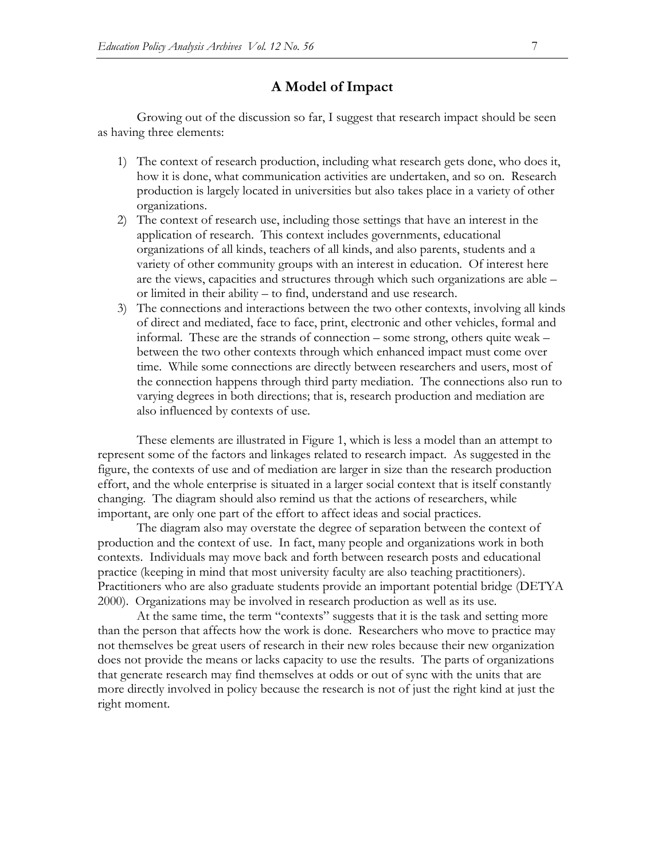# **A Model of Impact**

 Growing out of the discussion so far, I suggest that research impact should be seen as having three elements:

- 1) The context of research production, including what research gets done, who does it, how it is done, what communication activities are undertaken, and so on. Research production is largely located in universities but also takes place in a variety of other organizations.
- 2) The context of research use, including those settings that have an interest in the application of research. This context includes governments, educational organizations of all kinds, teachers of all kinds, and also parents, students and a variety of other community groups with an interest in education. Of interest here are the views, capacities and structures through which such organizations are able – or limited in their ability – to find, understand and use research.
- 3) The connections and interactions between the two other contexts, involving all kinds of direct and mediated, face to face, print, electronic and other vehicles, formal and informal. These are the strands of connection – some strong, others quite weak – between the two other contexts through which enhanced impact must come over time. While some connections are directly between researchers and users, most of the connection happens through third party mediation. The connections also run to varying degrees in both directions; that is, research production and mediation are also influenced by contexts of use.

 These elements are illustrated in Figure 1, which is less a model than an attempt to represent some of the factors and linkages related to research impact. As suggested in the figure, the contexts of use and of mediation are larger in size than the research production effort, and the whole enterprise is situated in a larger social context that is itself constantly changing. The diagram should also remind us that the actions of researchers, while important, are only one part of the effort to affect ideas and social practices.

 The diagram also may overstate the degree of separation between the context of production and the context of use. In fact, many people and organizations work in both contexts. Individuals may move back and forth between research posts and educational practice (keeping in mind that most university faculty are also teaching practitioners). Practitioners who are also graduate students provide an important potential bridge (DETYA 2000). Organizations may be involved in research production as well as its use.

 At the same time, the term "contexts" suggests that it is the task and setting more than the person that affects how the work is done. Researchers who move to practice may not themselves be great users of research in their new roles because their new organization does not provide the means or lacks capacity to use the results. The parts of organizations that generate research may find themselves at odds or out of sync with the units that are more directly involved in policy because the research is not of just the right kind at just the right moment.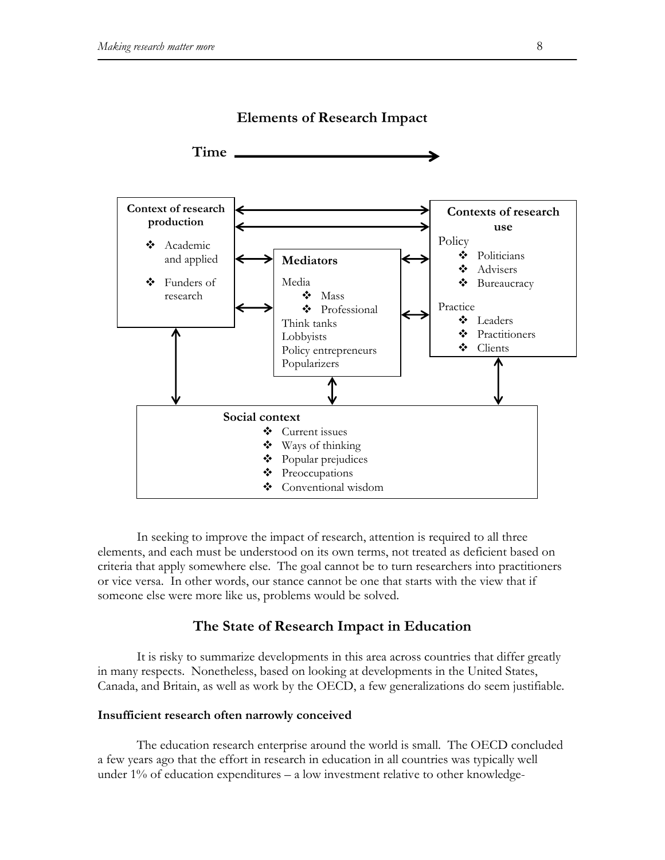

**Elements of Research Impact** 

 In seeking to improve the impact of research, attention is required to all three elements, and each must be understood on its own terms, not treated as deficient based on criteria that apply somewhere else. The goal cannot be to turn researchers into practitioners or vice versa. In other words, our stance cannot be one that starts with the view that if someone else were more like us, problems would be solved.

## **The State of Research Impact in Education**

 It is risky to summarize developments in this area across countries that differ greatly in many respects. Nonetheless, based on looking at developments in the United States, Canada, and Britain, as well as work by the OECD, a few generalizations do seem justifiable.

#### **Insufficient research often narrowly conceived**

 The education research enterprise around the world is small. The OECD concluded a few years ago that the effort in research in education in all countries was typically well under 1% of education expenditures – a low investment relative to other knowledge-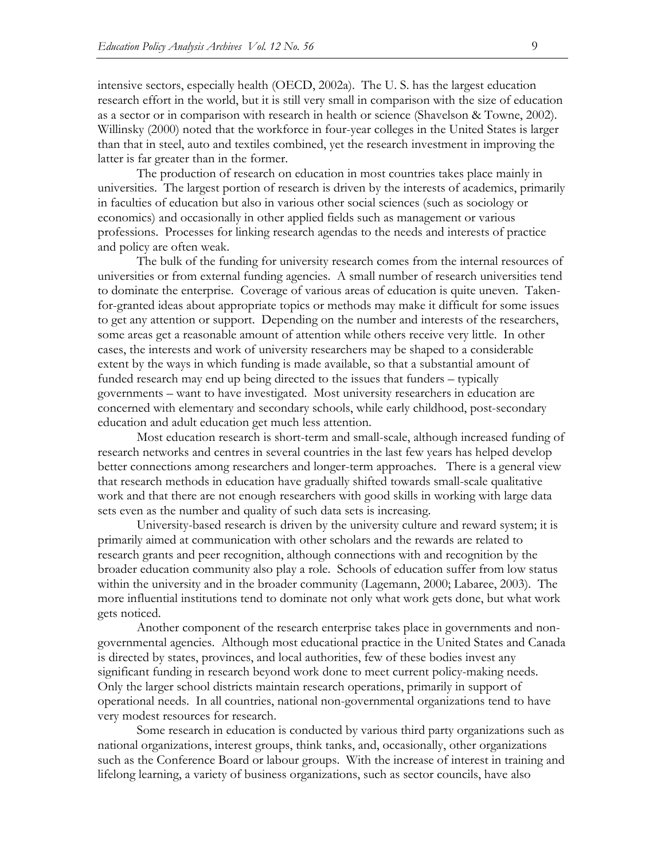intensive sectors, especially health (OECD, 2002a). The U. S. has the largest education research effort in the world, but it is still very small in comparison with the size of education as a sector or in comparison with research in health or science (Shavelson & Towne, 2002). Willinsky (2000) noted that the workforce in four-year colleges in the United States is larger than that in steel, auto and textiles combined, yet the research investment in improving the latter is far greater than in the former.

 The production of research on education in most countries takes place mainly in universities. The largest portion of research is driven by the interests of academics, primarily in faculties of education but also in various other social sciences (such as sociology or economics) and occasionally in other applied fields such as management or various professions. Processes for linking research agendas to the needs and interests of practice and policy are often weak.

 The bulk of the funding for university research comes from the internal resources of universities or from external funding agencies. A small number of research universities tend to dominate the enterprise. Coverage of various areas of education is quite uneven. Takenfor-granted ideas about appropriate topics or methods may make it difficult for some issues to get any attention or support. Depending on the number and interests of the researchers, some areas get a reasonable amount of attention while others receive very little. In other cases, the interests and work of university researchers may be shaped to a considerable extent by the ways in which funding is made available, so that a substantial amount of funded research may end up being directed to the issues that funders – typically governments – want to have investigated. Most university researchers in education are concerned with elementary and secondary schools, while early childhood, post-secondary education and adult education get much less attention.

 Most education research is short-term and small-scale, although increased funding of research networks and centres in several countries in the last few years has helped develop better connections among researchers and longer-term approaches. There is a general view that research methods in education have gradually shifted towards small-scale qualitative work and that there are not enough researchers with good skills in working with large data sets even as the number and quality of such data sets is increasing.

 University-based research is driven by the university culture and reward system; it is primarily aimed at communication with other scholars and the rewards are related to research grants and peer recognition, although connections with and recognition by the broader education community also play a role. Schools of education suffer from low status within the university and in the broader community (Lagemann, 2000; Labaree, 2003). The more influential institutions tend to dominate not only what work gets done, but what work gets noticed.

 Another component of the research enterprise takes place in governments and nongovernmental agencies. Although most educational practice in the United States and Canada is directed by states, provinces, and local authorities, few of these bodies invest any significant funding in research beyond work done to meet current policy-making needs. Only the larger school districts maintain research operations, primarily in support of operational needs. In all countries, national non-governmental organizations tend to have very modest resources for research.

 Some research in education is conducted by various third party organizations such as national organizations, interest groups, think tanks, and, occasionally, other organizations such as the Conference Board or labour groups. With the increase of interest in training and lifelong learning, a variety of business organizations, such as sector councils, have also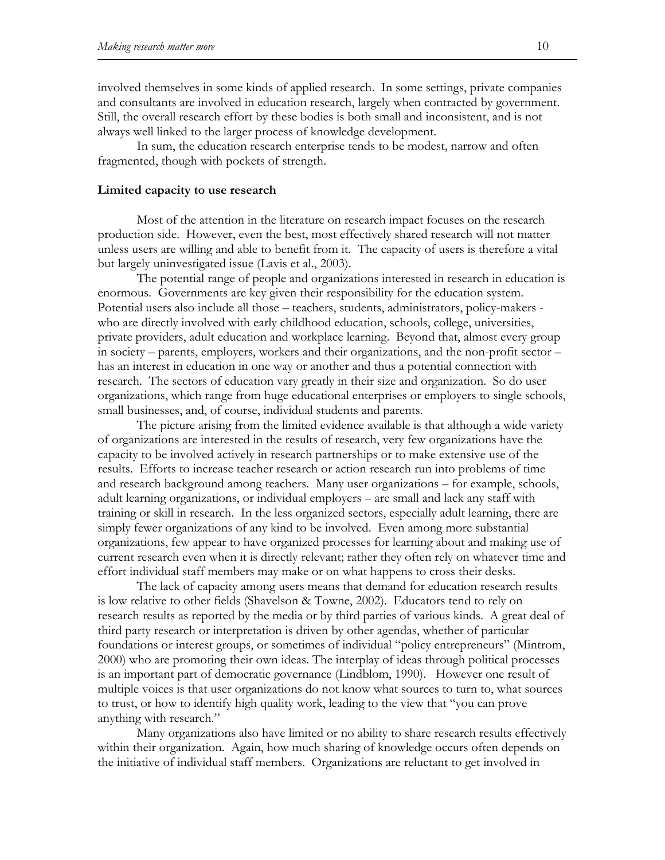involved themselves in some kinds of applied research. In some settings, private companies and consultants are involved in education research, largely when contracted by government. Still, the overall research effort by these bodies is both small and inconsistent, and is not always well linked to the larger process of knowledge development.

 In sum, the education research enterprise tends to be modest, narrow and often fragmented, though with pockets of strength.

#### **Limited capacity to use research**

 Most of the attention in the literature on research impact focuses on the research production side. However, even the best, most effectively shared research will not matter unless users are willing and able to benefit from it. The capacity of users is therefore a vital but largely uninvestigated issue (Lavis et al., 2003).

 The potential range of people and organizations interested in research in education is enormous. Governments are key given their responsibility for the education system. Potential users also include all those – teachers, students, administrators, policy-makers who are directly involved with early childhood education, schools, college, universities, private providers, adult education and workplace learning. Beyond that, almost every group in society – parents, employers, workers and their organizations, and the non-profit sector – has an interest in education in one way or another and thus a potential connection with research. The sectors of education vary greatly in their size and organization. So do user organizations, which range from huge educational enterprises or employers to single schools, small businesses, and, of course, individual students and parents.

 The picture arising from the limited evidence available is that although a wide variety of organizations are interested in the results of research, very few organizations have the capacity to be involved actively in research partnerships or to make extensive use of the results. Efforts to increase teacher research or action research run into problems of time and research background among teachers. Many user organizations – for example, schools, adult learning organizations, or individual employers – are small and lack any staff with training or skill in research. In the less organized sectors, especially adult learning, there are simply fewer organizations of any kind to be involved. Even among more substantial organizations, few appear to have organized processes for learning about and making use of current research even when it is directly relevant; rather they often rely on whatever time and effort individual staff members may make or on what happens to cross their desks.

 The lack of capacity among users means that demand for education research results is low relative to other fields (Shavelson & Towne, 2002). Educators tend to rely on research results as reported by the media or by third parties of various kinds. A great deal of third party research or interpretation is driven by other agendas, whether of particular foundations or interest groups, or sometimes of individual "policy entrepreneurs" (Mintrom, 2000) who are promoting their own ideas. The interplay of ideas through political processes is an important part of democratic governance (Lindblom, 1990). However one result of multiple voices is that user organizations do not know what sources to turn to, what sources to trust, or how to identify high quality work, leading to the view that "you can prove anything with research."

 Many organizations also have limited or no ability to share research results effectively within their organization. Again, how much sharing of knowledge occurs often depends on the initiative of individual staff members. Organizations are reluctant to get involved in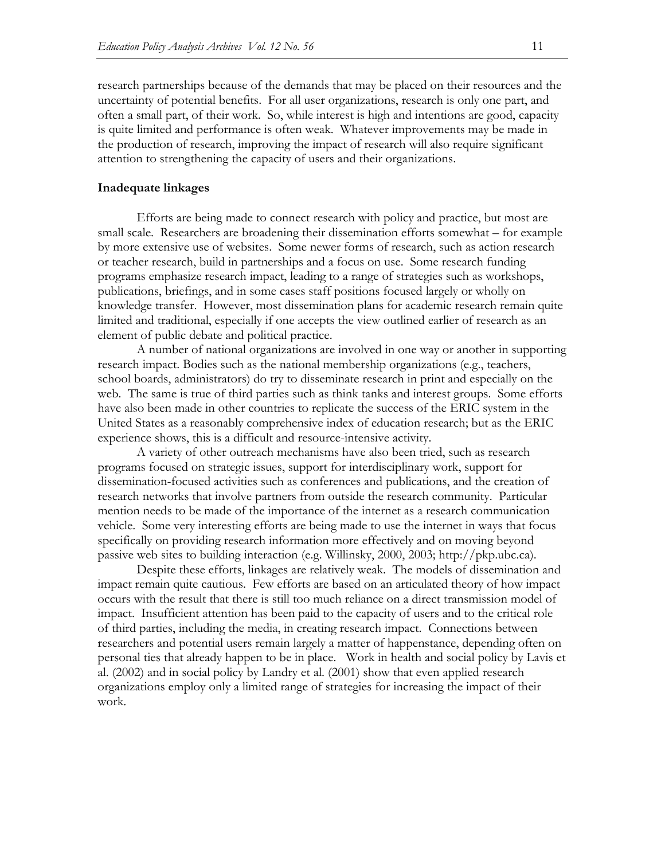research partnerships because of the demands that may be placed on their resources and the uncertainty of potential benefits. For all user organizations, research is only one part, and often a small part, of their work. So, while interest is high and intentions are good, capacity is quite limited and performance is often weak. Whatever improvements may be made in the production of research, improving the impact of research will also require significant attention to strengthening the capacity of users and their organizations.

#### **Inadequate linkages**

 Efforts are being made to connect research with policy and practice, but most are small scale. Researchers are broadening their dissemination efforts somewhat – for example by more extensive use of websites. Some newer forms of research, such as action research or teacher research, build in partnerships and a focus on use. Some research funding programs emphasize research impact, leading to a range of strategies such as workshops, publications, briefings, and in some cases staff positions focused largely or wholly on knowledge transfer. However, most dissemination plans for academic research remain quite limited and traditional, especially if one accepts the view outlined earlier of research as an element of public debate and political practice.

 A number of national organizations are involved in one way or another in supporting research impact. Bodies such as the national membership organizations (e.g., teachers, school boards, administrators) do try to disseminate research in print and especially on the web. The same is true of third parties such as think tanks and interest groups. Some efforts have also been made in other countries to replicate the success of the ERIC system in the United States as a reasonably comprehensive index of education research; but as the ERIC experience shows, this is a difficult and resource-intensive activity.

 A variety of other outreach mechanisms have also been tried, such as research programs focused on strategic issues, support for interdisciplinary work, support for dissemination-focused activities such as conferences and publications, and the creation of research networks that involve partners from outside the research community. Particular mention needs to be made of the importance of the internet as a research communication vehicle. Some very interesting efforts are being made to use the internet in ways that focus specifically on providing research information more effectively and on moving beyond passive web sites to building interaction (e.g. Willinsky, 2000, 2003; http://pkp.ubc.ca).

 Despite these efforts, linkages are relatively weak. The models of dissemination and impact remain quite cautious. Few efforts are based on an articulated theory of how impact occurs with the result that there is still too much reliance on a direct transmission model of impact. Insufficient attention has been paid to the capacity of users and to the critical role of third parties, including the media, in creating research impact. Connections between researchers and potential users remain largely a matter of happenstance, depending often on personal ties that already happen to be in place. Work in health and social policy by Lavis et al. (2002) and in social policy by Landry et al. (2001) show that even applied research organizations employ only a limited range of strategies for increasing the impact of their work.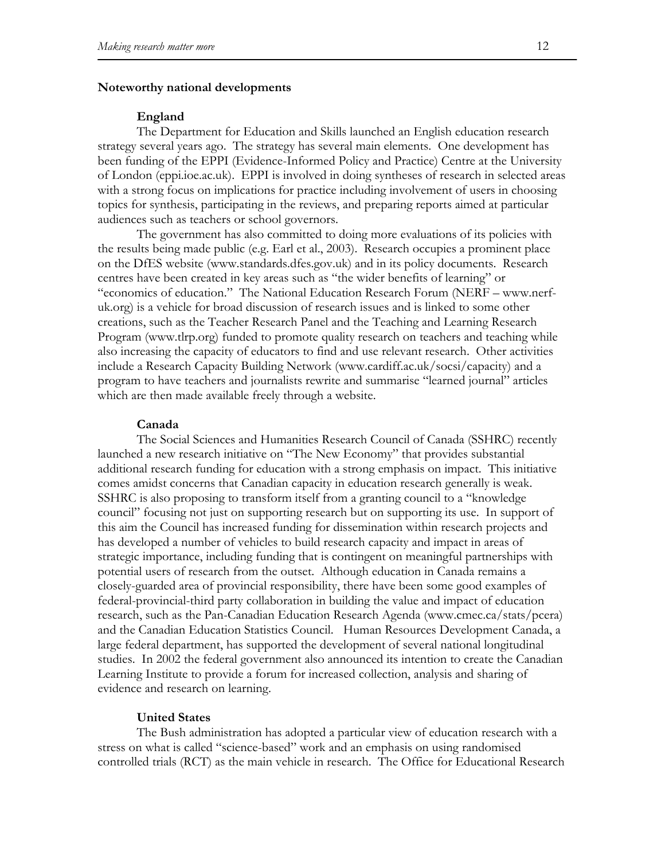## **Noteworthy national developments**

#### **England**

 The Department for Education and Skills launched an English education research strategy several years ago. The strategy has several main elements. One development has been funding of the EPPI (Evidence-Informed Policy and Practice) Centre at the University of London (eppi.ioe.ac.uk). EPPI is involved in doing syntheses of research in selected areas with a strong focus on implications for practice including involvement of users in choosing topics for synthesis, participating in the reviews, and preparing reports aimed at particular audiences such as teachers or school governors.

 The government has also committed to doing more evaluations of its policies with the results being made public (e.g. Earl et al., 2003). Research occupies a prominent place on the DfES website (www.standards.dfes.gov.uk) and in its policy documents. Research centres have been created in key areas such as "the wider benefits of learning" or "economics of education." The National Education Research Forum (NERF – www.nerfuk.org) is a vehicle for broad discussion of research issues and is linked to some other creations, such as the Teacher Research Panel and the Teaching and Learning Research Program (www.tlrp.org) funded to promote quality research on teachers and teaching while also increasing the capacity of educators to find and use relevant research. Other activities include a Research Capacity Building Network (www.cardiff.ac.uk/socsi/capacity) and a program to have teachers and journalists rewrite and summarise "learned journal" articles which are then made available freely through a website.

#### **Canada**

 The Social Sciences and Humanities Research Council of Canada (SSHRC) recently launched a new research initiative on "The New Economy" that provides substantial additional research funding for education with a strong emphasis on impact. This initiative comes amidst concerns that Canadian capacity in education research generally is weak. SSHRC is also proposing to transform itself from a granting council to a "knowledge council" focusing not just on supporting research but on supporting its use. In support of this aim the Council has increased funding for dissemination within research projects and has developed a number of vehicles to build research capacity and impact in areas of strategic importance, including funding that is contingent on meaningful partnerships with potential users of research from the outset. Although education in Canada remains a closely-guarded area of provincial responsibility, there have been some good examples of federal-provincial-third party collaboration in building the value and impact of education research, such as the Pan-Canadian Education Research Agenda (www.cmec.ca/stats/pcera) and the Canadian Education Statistics Council. Human Resources Development Canada, a large federal department, has supported the development of several national longitudinal studies. In 2002 the federal government also announced its intention to create the Canadian Learning Institute to provide a forum for increased collection, analysis and sharing of evidence and research on learning.

## **United States**

 The Bush administration has adopted a particular view of education research with a stress on what is called "science-based" work and an emphasis on using randomised controlled trials (RCT) as the main vehicle in research. The Office for Educational Research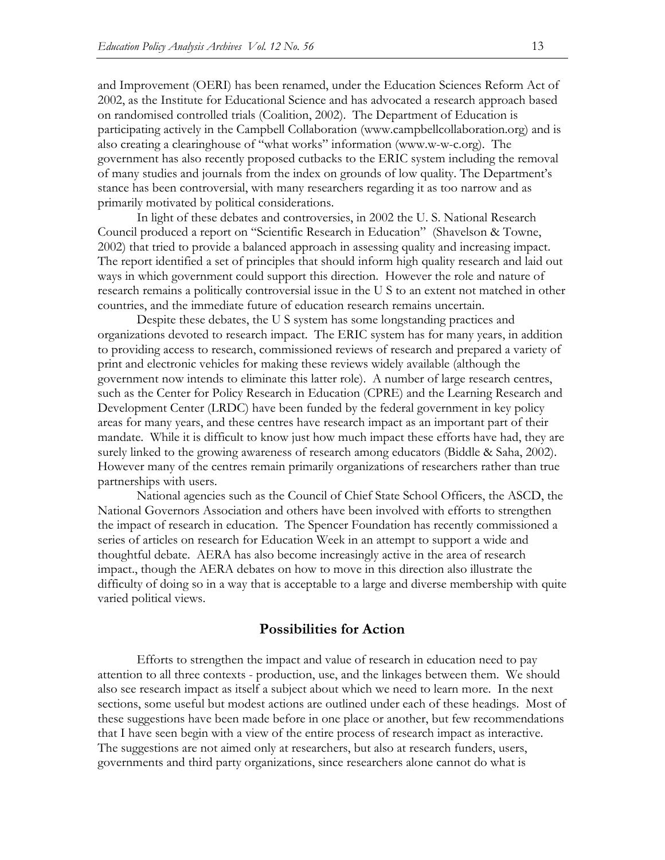and Improvement (OERI) has been renamed, under the Education Sciences Reform Act of 2002, as the Institute for Educational Science and has advocated a research approach based on randomised controlled trials (Coalition, 2002). The Department of Education is participating actively in the Campbell Collaboration (www.campbellcollaboration.org) and is also creating a clearinghouse of "what works" information (www.w-w-c.org). The government has also recently proposed cutbacks to the ERIC system including the removal of many studies and journals from the index on grounds of low quality. The Department's stance has been controversial, with many researchers regarding it as too narrow and as primarily motivated by political considerations.

 In light of these debates and controversies, in 2002 the U. S. National Research Council produced a report on "Scientific Research in Education" (Shavelson & Towne, 2002) that tried to provide a balanced approach in assessing quality and increasing impact. The report identified a set of principles that should inform high quality research and laid out ways in which government could support this direction. However the role and nature of research remains a politically controversial issue in the U S to an extent not matched in other countries, and the immediate future of education research remains uncertain.

 Despite these debates, the U S system has some longstanding practices and organizations devoted to research impact. The ERIC system has for many years, in addition to providing access to research, commissioned reviews of research and prepared a variety of print and electronic vehicles for making these reviews widely available (although the government now intends to eliminate this latter role). A number of large research centres, such as the Center for Policy Research in Education (CPRE) and the Learning Research and Development Center (LRDC) have been funded by the federal government in key policy areas for many years, and these centres have research impact as an important part of their mandate. While it is difficult to know just how much impact these efforts have had, they are surely linked to the growing awareness of research among educators (Biddle & Saha, 2002). However many of the centres remain primarily organizations of researchers rather than true partnerships with users.

 National agencies such as the Council of Chief State School Officers, the ASCD, the National Governors Association and others have been involved with efforts to strengthen the impact of research in education. The Spencer Foundation has recently commissioned a series of articles on research for Education Week in an attempt to support a wide and thoughtful debate. AERA has also become increasingly active in the area of research impact., though the AERA debates on how to move in this direction also illustrate the difficulty of doing so in a way that is acceptable to a large and diverse membership with quite varied political views.

## **Possibilities for Action**

 Efforts to strengthen the impact and value of research in education need to pay attention to all three contexts - production, use, and the linkages between them. We should also see research impact as itself a subject about which we need to learn more. In the next sections, some useful but modest actions are outlined under each of these headings. Most of these suggestions have been made before in one place or another, but few recommendations that I have seen begin with a view of the entire process of research impact as interactive. The suggestions are not aimed only at researchers, but also at research funders, users, governments and third party organizations, since researchers alone cannot do what is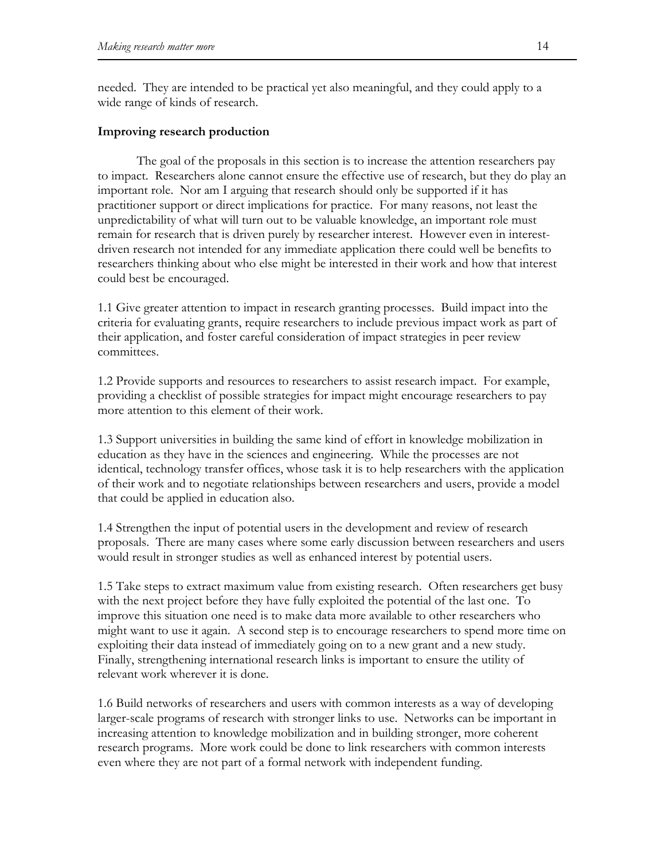needed. They are intended to be practical yet also meaningful, and they could apply to a wide range of kinds of research.

## **Improving research production**

 The goal of the proposals in this section is to increase the attention researchers pay to impact. Researchers alone cannot ensure the effective use of research, but they do play an important role. Nor am I arguing that research should only be supported if it has practitioner support or direct implications for practice. For many reasons, not least the unpredictability of what will turn out to be valuable knowledge, an important role must remain for research that is driven purely by researcher interest. However even in interestdriven research not intended for any immediate application there could well be benefits to researchers thinking about who else might be interested in their work and how that interest could best be encouraged.

1.1 Give greater attention to impact in research granting processes. Build impact into the criteria for evaluating grants, require researchers to include previous impact work as part of their application, and foster careful consideration of impact strategies in peer review committees.

1.2 Provide supports and resources to researchers to assist research impact. For example, providing a checklist of possible strategies for impact might encourage researchers to pay more attention to this element of their work.

1.3 Support universities in building the same kind of effort in knowledge mobilization in education as they have in the sciences and engineering. While the processes are not identical, technology transfer offices, whose task it is to help researchers with the application of their work and to negotiate relationships between researchers and users, provide a model that could be applied in education also.

1.4 Strengthen the input of potential users in the development and review of research proposals. There are many cases where some early discussion between researchers and users would result in stronger studies as well as enhanced interest by potential users.

1.5 Take steps to extract maximum value from existing research. Often researchers get busy with the next project before they have fully exploited the potential of the last one. To improve this situation one need is to make data more available to other researchers who might want to use it again. A second step is to encourage researchers to spend more time on exploiting their data instead of immediately going on to a new grant and a new study. Finally, strengthening international research links is important to ensure the utility of relevant work wherever it is done.

1.6 Build networks of researchers and users with common interests as a way of developing larger-scale programs of research with stronger links to use. Networks can be important in increasing attention to knowledge mobilization and in building stronger, more coherent research programs. More work could be done to link researchers with common interests even where they are not part of a formal network with independent funding.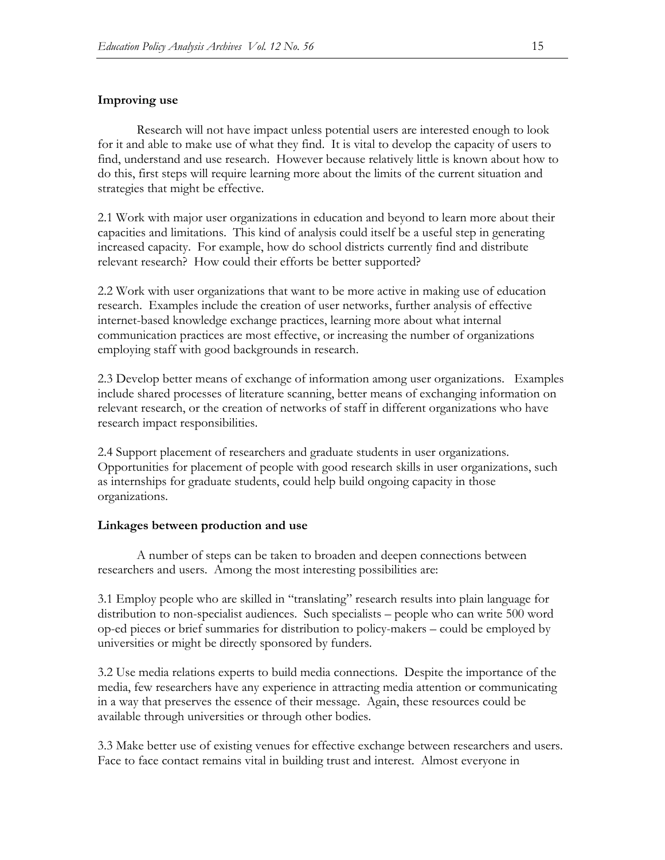## **Improving use**

 Research will not have impact unless potential users are interested enough to look for it and able to make use of what they find. It is vital to develop the capacity of users to find, understand and use research. However because relatively little is known about how to do this, first steps will require learning more about the limits of the current situation and strategies that might be effective.

2.1 Work with major user organizations in education and beyond to learn more about their capacities and limitations. This kind of analysis could itself be a useful step in generating increased capacity. For example, how do school districts currently find and distribute relevant research? How could their efforts be better supported?

2.2 Work with user organizations that want to be more active in making use of education research. Examples include the creation of user networks, further analysis of effective internet-based knowledge exchange practices, learning more about what internal communication practices are most effective, or increasing the number of organizations employing staff with good backgrounds in research.

2.3 Develop better means of exchange of information among user organizations. Examples include shared processes of literature scanning, better means of exchanging information on relevant research, or the creation of networks of staff in different organizations who have research impact responsibilities.

2.4 Support placement of researchers and graduate students in user organizations. Opportunities for placement of people with good research skills in user organizations, such as internships for graduate students, could help build ongoing capacity in those organizations.

#### **Linkages between production and use**

 A number of steps can be taken to broaden and deepen connections between researchers and users. Among the most interesting possibilities are:

3.1 Employ people who are skilled in "translating" research results into plain language for distribution to non-specialist audiences. Such specialists – people who can write 500 word op-ed pieces or brief summaries for distribution to policy-makers – could be employed by universities or might be directly sponsored by funders.

3.2 Use media relations experts to build media connections. Despite the importance of the media, few researchers have any experience in attracting media attention or communicating in a way that preserves the essence of their message. Again, these resources could be available through universities or through other bodies.

3.3 Make better use of existing venues for effective exchange between researchers and users. Face to face contact remains vital in building trust and interest. Almost everyone in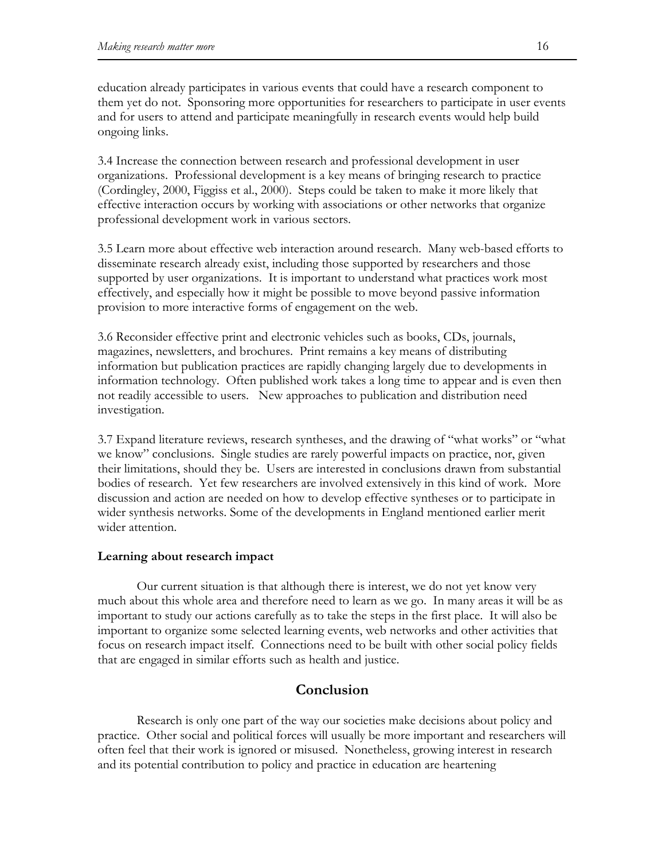education already participates in various events that could have a research component to them yet do not. Sponsoring more opportunities for researchers to participate in user events and for users to attend and participate meaningfully in research events would help build ongoing links.

3.4 Increase the connection between research and professional development in user organizations. Professional development is a key means of bringing research to practice (Cordingley, 2000, Figgiss et al., 2000). Steps could be taken to make it more likely that effective interaction occurs by working with associations or other networks that organize professional development work in various sectors.

3.5 Learn more about effective web interaction around research. Many web-based efforts to disseminate research already exist, including those supported by researchers and those supported by user organizations. It is important to understand what practices work most effectively, and especially how it might be possible to move beyond passive information provision to more interactive forms of engagement on the web.

3.6 Reconsider effective print and electronic vehicles such as books, CDs, journals, magazines, newsletters, and brochures. Print remains a key means of distributing information but publication practices are rapidly changing largely due to developments in information technology. Often published work takes a long time to appear and is even then not readily accessible to users. New approaches to publication and distribution need investigation.

3.7 Expand literature reviews, research syntheses, and the drawing of "what works" or "what we know" conclusions. Single studies are rarely powerful impacts on practice, nor, given their limitations, should they be. Users are interested in conclusions drawn from substantial bodies of research. Yet few researchers are involved extensively in this kind of work. More discussion and action are needed on how to develop effective syntheses or to participate in wider synthesis networks. Some of the developments in England mentioned earlier merit wider attention.

#### **Learning about research impact**

 Our current situation is that although there is interest, we do not yet know very much about this whole area and therefore need to learn as we go. In many areas it will be as important to study our actions carefully as to take the steps in the first place. It will also be important to organize some selected learning events, web networks and other activities that focus on research impact itself. Connections need to be built with other social policy fields that are engaged in similar efforts such as health and justice.

## **Conclusion**

 Research is only one part of the way our societies make decisions about policy and practice. Other social and political forces will usually be more important and researchers will often feel that their work is ignored or misused. Nonetheless, growing interest in research and its potential contribution to policy and practice in education are heartening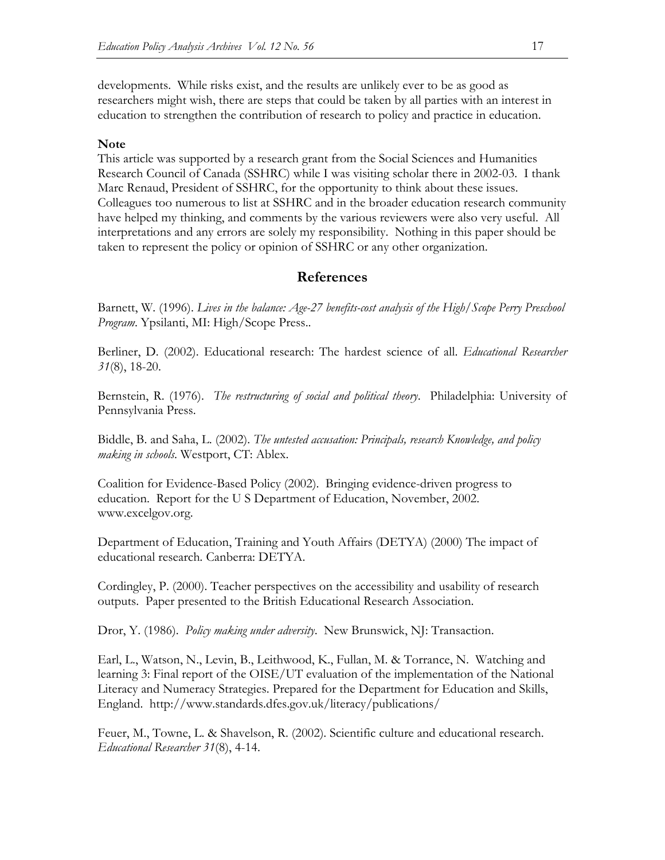developments. While risks exist, and the results are unlikely ever to be as good as researchers might wish, there are steps that could be taken by all parties with an interest in education to strengthen the contribution of research to policy and practice in education.

## **Note**

This article was supported by a research grant from the Social Sciences and Humanities Research Council of Canada (SSHRC) while I was visiting scholar there in 2002-03. I thank Marc Renaud, President of SSHRC, for the opportunity to think about these issues. Colleagues too numerous to list at SSHRC and in the broader education research community have helped my thinking, and comments by the various reviewers were also very useful. All interpretations and any errors are solely my responsibility. Nothing in this paper should be taken to represent the policy or opinion of SSHRC or any other organization.

## **References**

Barnett, W. (1996). *Lives in the balance: Age-27 benefits-cost analysis of the High/Scope Perry Preschool Program*. Ypsilanti, MI: High/Scope Press..

Berliner, D. (2002). Educational research: The hardest science of all. *Educational Researcher 31*(8), 18-20.

Bernstein, R. (1976). *The restructuring of social and political theory*. Philadelphia: University of Pennsylvania Press.

Biddle, B. and Saha, L. (2002). *The untested accusation: Principals, research Knowledge, and policy making in schools*. Westport, CT: Ablex.

Coalition for Evidence-Based Policy (2002). Bringing evidence-driven progress to education. Report for the U S Department of Education, November, 2002. www.excelgov.org.

Department of Education, Training and Youth Affairs (DETYA) (2000) The impact of educational research*.* Canberra: DETYA.

Cordingley, P. (2000). Teacher perspectives on the accessibility and usability of research outputs. Paper presented to the British Educational Research Association.

Dror, Y. (1986). *Policy making under adversity*. New Brunswick, NJ: Transaction.

Earl, L., Watson, N., Levin, B., Leithwood, K., Fullan, M. & Torrance, N. Watching and learning 3: Final report of the OISE/UT evaluation of the implementation of the National Literacy and Numeracy Strategies. Prepared for the Department for Education and Skills, England. http://www.standards.dfes.gov.uk/literacy/publications/

Feuer, M., Towne, L. & Shavelson, R. (2002). Scientific culture and educational research. *Educational Researcher 31*(8), 4-14.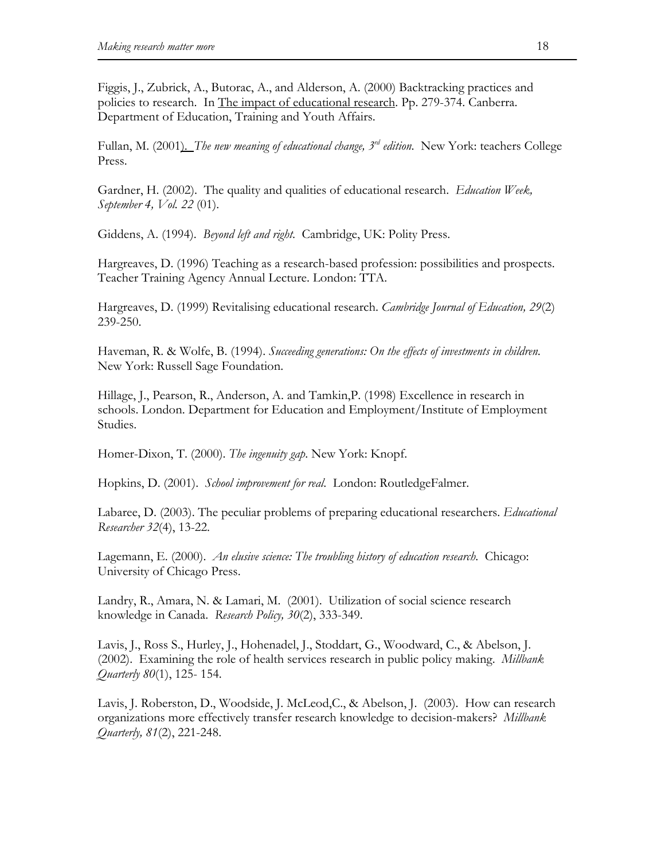Figgis, J., Zubrick, A., Butorac, A., and Alderson, A. (2000) Backtracking practices and policies to research. In The impact of educational research. Pp. 279-374. Canberra. Department of Education, Training and Youth Affairs.

Fullan, M. (2001). *The new meaning of educational change, 3rd edition*. New York: teachers College Press.

Gardner, H. (2002). The quality and qualities of educational research. *Education Week, September 4, Vol. 22* (01).

Giddens, A. (1994). *Beyond left and right*. Cambridge, UK: Polity Press.

Hargreaves, D. (1996) Teaching as a research-based profession: possibilities and prospects. Teacher Training Agency Annual Lecture. London: TTA.

Hargreaves, D. (1999) Revitalising educational research. *Cambridge Journal of Education, 29*(2) 239-250.

Haveman, R. & Wolfe, B. (1994). *Succeeding generations: On the effects of investments in children*. New York: Russell Sage Foundation.

Hillage, J., Pearson, R., Anderson, A. and Tamkin,P. (1998) Excellence in research in schools. London. Department for Education and Employment/Institute of Employment Studies.

Homer-Dixon, T. (2000). *The ingenuity gap*. New York: Knopf.

Hopkins, D. (2001). *School improvement for real*. London: RoutledgeFalmer.

Labaree, D. (2003). The peculiar problems of preparing educational researchers. *Educational Researcher 32*(4), 13-22.

Lagemann, E. (2000). *An elusive science: The troubling history of education research*. Chicago: University of Chicago Press.

Landry, R., Amara, N. & Lamari, M. (2001). Utilization of social science research knowledge in Canada. *Research Policy, 30*(2), 333-349.

Lavis, J., Ross S., Hurley, J., Hohenadel, J., Stoddart, G., Woodward, C., & Abelson, J. (2002). Examining the role of health services research in public policy making. *Millbank Quarterly 80*(1), 125- 154.

Lavis, J. Roberston, D., Woodside, J. McLeod,C., & Abelson, J. (2003). How can research organizations more effectively transfer research knowledge to decision-makers? *Millbank Quarterly, 81*(2), 221-248.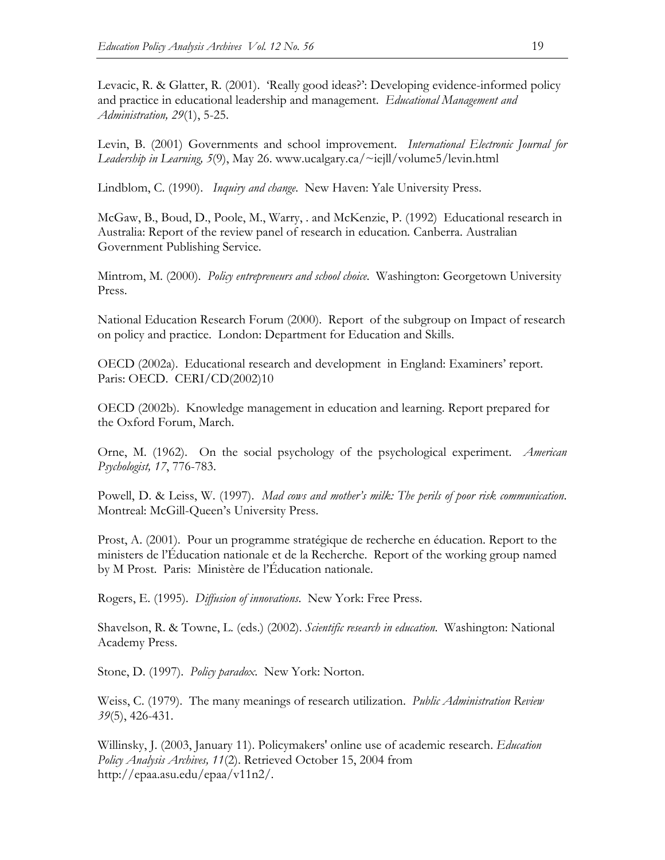Levacic, R. & Glatter, R. (2001). 'Really good ideas?': Developing evidence-informed policy and practice in educational leadership and management. *Educational Management and Administration, 29*(1), 5-25.

Levin, B. (2001) Governments and school improvement. *International Electronic Journal for Leadership in Learning, 5*(9), May 26. www.ucalgary.ca/~iejll/volume5/levin.html

Lindblom, C. (1990). *Inquiry and change*. New Haven: Yale University Press.

McGaw, B., Boud, D., Poole, M., Warry, . and McKenzie, P. (1992) Educational research in Australia: Report of the review panel of research in education*.* Canberra. Australian Government Publishing Service.

Mintrom, M. (2000). *Policy entrepreneurs and school choice*. Washington: Georgetown University Press.

National Education Research Forum (2000). Report of the subgroup on Impact of research on policy and practice. London: Department for Education and Skills.

OECD (2002a). Educational research and development in England: Examiners' report. Paris: OECD. CERI/CD(2002)10

OECD (2002b). Knowledge management in education and learning. Report prepared for the Oxford Forum, March.

Orne, M. (1962). On the social psychology of the psychological experiment. *American Psychologist, 17*, 776-783.

Powell, D. & Leiss, W. (1997). *Mad cows and mother's milk: The perils of poor risk communication*. Montreal: McGill-Queen's University Press.

Prost, A. (2001). Pour un programme stratégique de recherche en éducation. Report to the ministers de l'Éducation nationale et de la Recherche. Report of the working group named by M Prost. Paris: Ministère de l'Éducation nationale.

Rogers, E. (1995). *Diffusion of innovations*. New York: Free Press.

Shavelson, R. & Towne, L. (eds.) (2002). *Scientific research in education*. Washington: National Academy Press.

Stone, D. (1997). *Policy paradox*. New York: Norton.

Weiss, C. (1979). The many meanings of research utilization. *Public Administration Review 39*(5), 426-431.

Willinsky, J. (2003, January 11). Policymakers' online use of academic research. *Education Policy Analysis Archives, 11*(2). Retrieved October 15, 2004 from http://epaa.asu.edu/epaa/v11n2/.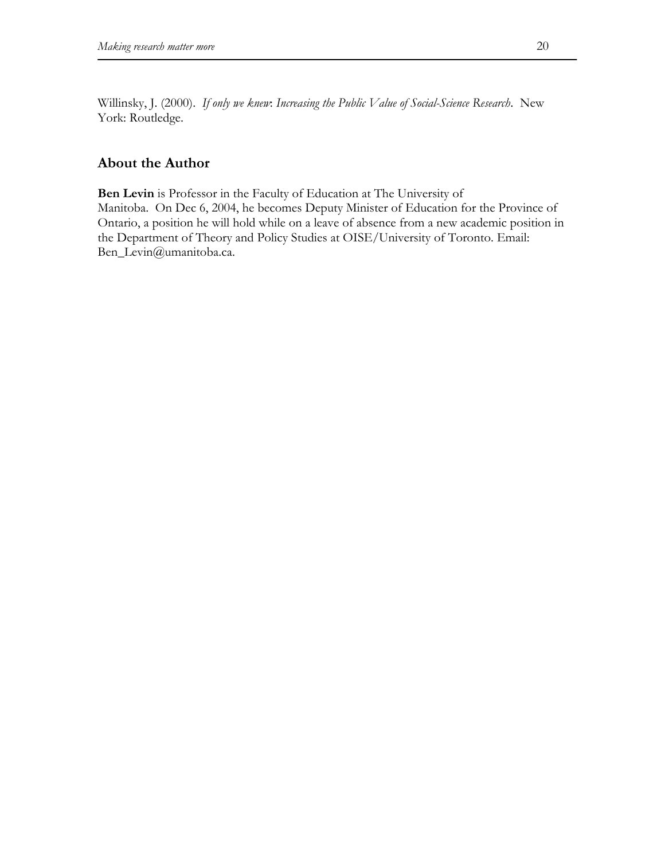Willinsky, J. (2000). *If only we knew*: *Increasing the Public Value of Social-Science Research*. New York: Routledge.

# **About the Author**

**Ben Levin** is Professor in the Faculty of Education at The University of Manitoba. On Dec 6, 2004, he becomes Deputy Minister of Education for the Province of Ontario, a position he will hold while on a leave of absence from a new academic position in the Department of Theory and Policy Studies at OISE/University of Toronto. Email: Ben\_Levin@umanitoba.ca.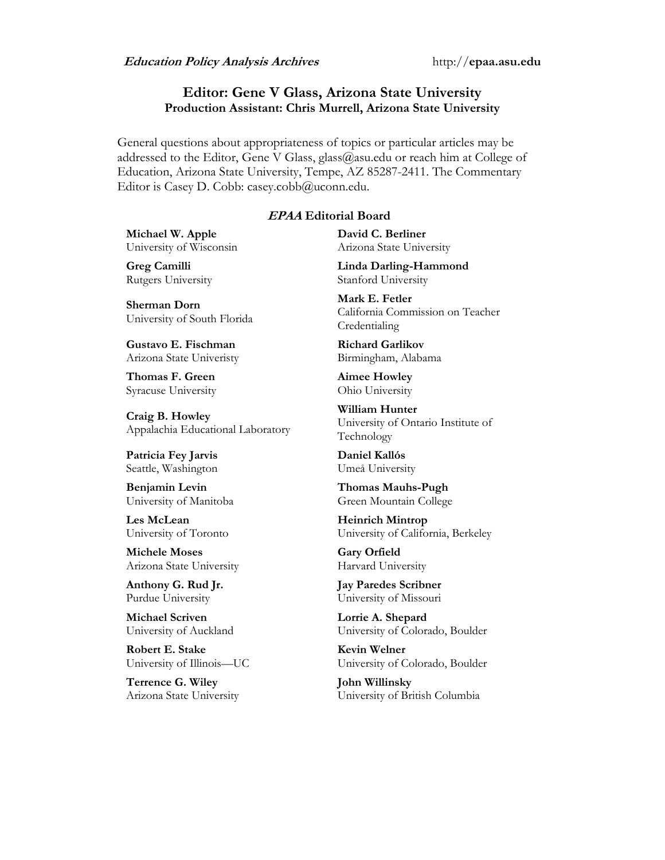## **Editor: Gene V Glass, Arizona State University Production Assistant: Chris Murrell, Arizona State University**

General questions about appropriateness of topics or particular articles may be addressed to the Editor, Gene V Glass, glass@asu.edu or reach him at College of Education, Arizona State University, Tempe, AZ 85287-2411. The Commentary Editor is Casey D. Cobb: casey.cobb@uconn.edu.

## **EPAA Editorial Board**

**Michael W. Apple** University of Wisconsin

**Greg Camilli** Rutgers University

**Sherman Dorn** University of South Florida

**Gustavo E. Fischman** Arizona State Univeristy

**Thomas F. Green** Syracuse University

**Craig B. Howley** Appalachia Educational Laboratory

**Patricia Fey Jarvis**  Seattle, Washington

**Benjamin Levin** University of Manitoba

**Les McLean** University of Toronto

**Michele Moses** Arizona State University

**Anthony G. Rud Jr.** Purdue University

**Michael Scriven** University of Auckland

**Robert E. Stake**  University of Illinois—UC

**Terrence G. Wiley** Arizona State University **David C. Berliner**  Arizona State University

**Linda Darling-Hammond**  Stanford University

**Mark E. Fetler** California Commission on Teacher Credentialing

**Richard Garlikov** Birmingham, Alabama

**Aimee Howley** Ohio University

**William Hunter** University of Ontario Institute of Technology

**Daniel Kallós** Umeå University

**Thomas Mauhs-Pugh** Green Mountain College

**Heinrich Mintrop**  University of California, Berkeley

**Gary Orfield** Harvard University

**Jay Paredes Scribner** University of Missouri

**Lorrie A. Shepard** University of Colorado, Boulder

**Kevin Welner** University of Colorado, Boulder

**John Willinsky** University of British Columbia